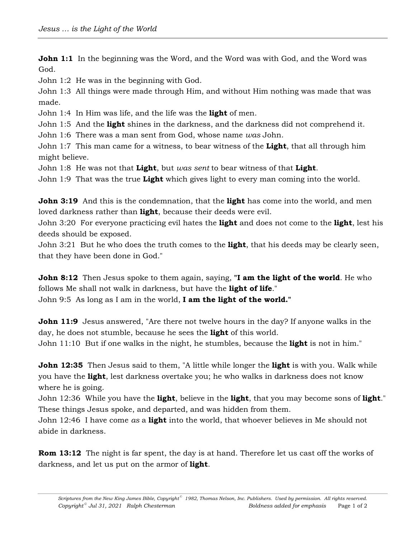**John 1:1** In the beginning was the Word, and the Word was with God, and the Word was God.

John 1:2 He was in the beginning with God.

John 1:3 All things were made through Him, and without Him nothing was made that was made.

John 1:4 In Him was life, and the life was the **light** of men.

John 1:5 And the **light** shines in the darkness, and the darkness did not comprehend it.

John 1:6 There was a man sent from God, whose name *was* John.

John 1:7 This man came for a witness, to bear witness of the **Light**, that all through him might believe.

John 1:8 He was not that **Light**, but *was sent* to bear witness of that **Light**.

John 1:9 That was the true **Light** which gives light to every man coming into the world.

**John 3:19** And this is the condemnation, that the **light** has come into the world, and men loved darkness rather than **light**, because their deeds were evil.

John 3:20 For everyone practicing evil hates the **light** and does not come to the **light**, lest his deeds should be exposed.

John 3:21 But he who does the truth comes to the **light**, that his deeds may be clearly seen, that they have been done in God."

**John 8:12** Then Jesus spoke to them again, saying, "I am the light of the world. He who follows Me shall not walk in darkness, but have the **light of life**."

John 9:5 As long as I am in the world, **I am the light of the world."**

**John 11:9** Jesus answered, "Are there not twelve hours in the day? If anyone walks in the day, he does not stumble, because he sees the **light** of this world.

John 11:10 But if one walks in the night, he stumbles, because the **light** is not in him."

**John 12:35** Then Jesus said to them, "A little while longer the **light** is with you. Walk while you have the **light**, lest darkness overtake you; he who walks in darkness does not know where he is going.

John 12:36 While you have the **light**, believe in the **light**, that you may become sons of **light**." These things Jesus spoke, and departed, and was hidden from them.

John 12:46 I have come *as* a **light** into the world, that whoever believes in Me should not abide in darkness.

**Rom 13:12** The night is far spent, the day is at hand. Therefore let us cast off the works of darkness, and let us put on the armor of **light**.